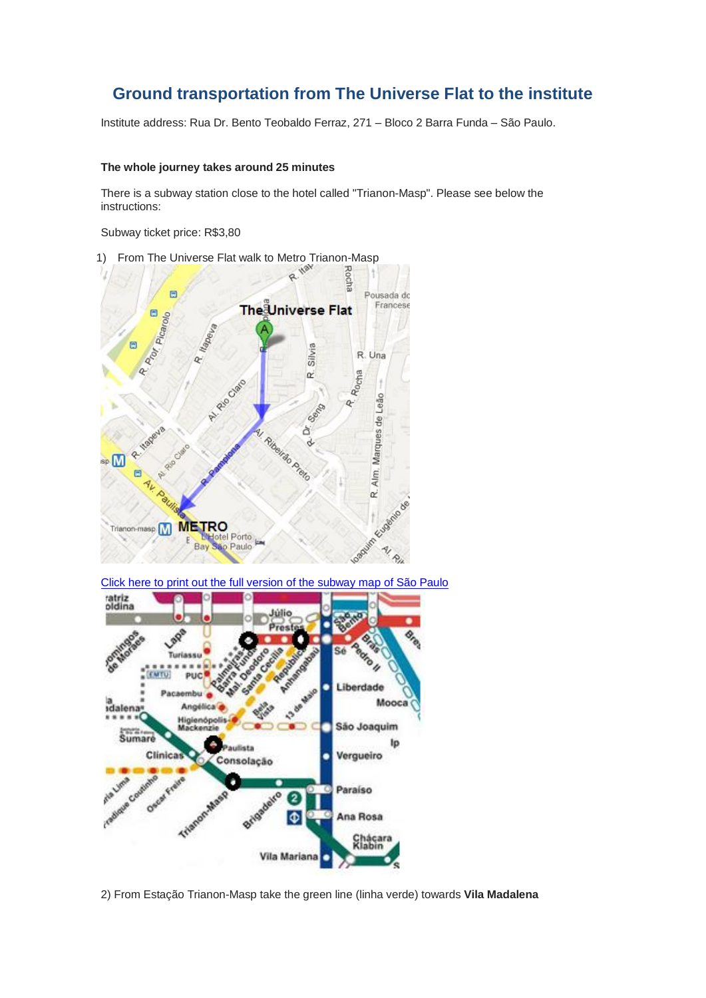## **Ground transportation from The Universe Flat to the institute**

Institute address: Rua Dr. Bento Teobaldo Ferraz, 271 – Bloco 2 Barra Funda – São Paulo.

## **The whole journey takes around 25 minutes**

There is a subway station close to the hotel called "Trianon-Masp". Please see below the instructions:

Subway ticket price: R\$3,80



[Click here to print out the full version of the subway map of São Paulo](http://200.145.112.247/wp-content/uploads/2011/08/metr%C3%B41.jpg)



2) From Estação Trianon-Masp take the green line (linha verde) towards **Vila Madalena**